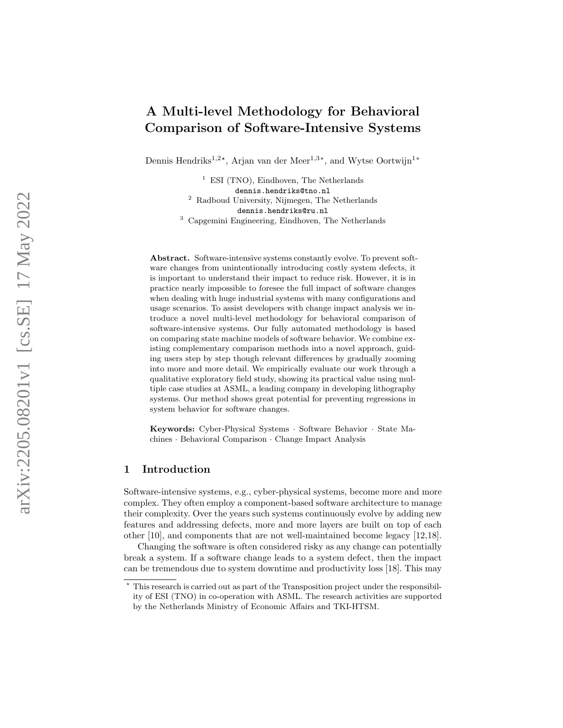# A Multi-level Methodology for Behavioral Comparison of Software-Intensive Systems

Dennis Hendriks<sup>1,2\*</sup>, Arjan van der Meer<sup>1,3\*</sup>, and Wytse Oortwijn<sup>1\*</sup>

 $1$  ESI (TNO), Eindhoven, The Netherlands dennis.hendriks@tno.nl <sup>2</sup> Radboud University, Nijmegen, The Netherlands dennis.hendriks@ru.nl <sup>3</sup> Capgemini Engineering, Eindhoven, The Netherlands

Abstract. Software-intensive systems constantly evolve. To prevent software changes from unintentionally introducing costly system defects, it is important to understand their impact to reduce risk. However, it is in practice nearly impossible to foresee the full impact of software changes when dealing with huge industrial systems with many configurations and usage scenarios. To assist developers with change impact analysis we introduce a novel multi-level methodology for behavioral comparison of software-intensive systems. Our fully automated methodology is based on comparing state machine models of software behavior. We combine existing complementary comparison methods into a novel approach, guiding users step by step though relevant differences by gradually zooming into more and more detail. We empirically evaluate our work through a qualitative exploratory field study, showing its practical value using multiple case studies at ASML, a leading company in developing lithography systems. Our method shows great potential for preventing regressions in system behavior for software changes.

Keywords: Cyber-Physical Systems · Software Behavior · State Machines · Behavioral Comparison · Change Impact Analysis

# 1 Introduction

Software-intensive systems, e.g., cyber-physical systems, become more and more complex. They often employ a component-based software architecture to manage their complexity. Over the years such systems continuously evolve by adding new features and addressing defects, more and more layers are built on top of each other [\[10\]](#page-19-0), and components that are not well-maintained become legacy [\[12,](#page-19-1)[18\]](#page-19-2).

Changing the software is often considered risky as any change can potentially break a system. If a software change leads to a system defect, then the impact can be tremendous due to system downtime and productivity loss [\[18\]](#page-19-2). This may

<sup>?</sup> This research is carried out as part of the Transposition project under the responsibility of ESI (TNO) in co-operation with ASML. The research activities are supported by the Netherlands Ministry of Economic Affairs and TKI-HTSM.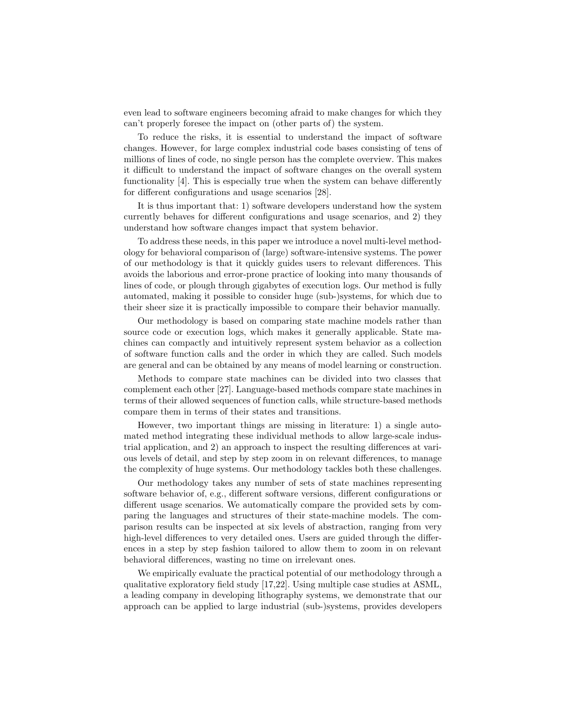even lead to software engineers becoming afraid to make changes for which they can't properly foresee the impact on (other parts of) the system.

To reduce the risks, it is essential to understand the impact of software changes. However, for large complex industrial code bases consisting of tens of millions of lines of code, no single person has the complete overview. This makes it difficult to understand the impact of software changes on the overall system functionality [\[4\]](#page-18-0). This is especially true when the system can behave differently for different configurations and usage scenarios [\[28\]](#page-20-0).

It is thus important that: 1) software developers understand how the system currently behaves for different configurations and usage scenarios, and 2) they understand how software changes impact that system behavior.

To address these needs, in this paper we introduce a novel multi-level methodology for behavioral comparison of (large) software-intensive systems. The power of our methodology is that it quickly guides users to relevant differences. This avoids the laborious and error-prone practice of looking into many thousands of lines of code, or plough through gigabytes of execution logs. Our method is fully automated, making it possible to consider huge (sub-)systems, for which due to their sheer size it is practically impossible to compare their behavior manually.

Our methodology is based on comparing state machine models rather than source code or execution logs, which makes it generally applicable. State machines can compactly and intuitively represent system behavior as a collection of software function calls and the order in which they are called. Such models are general and can be obtained by any means of model learning or construction.

Methods to compare state machines can be divided into two classes that complement each other [\[27\]](#page-20-1). Language-based methods compare state machines in terms of their allowed sequences of function calls, while structure-based methods compare them in terms of their states and transitions.

However, two important things are missing in literature: 1) a single automated method integrating these individual methods to allow large-scale industrial application, and 2) an approach to inspect the resulting differences at various levels of detail, and step by step zoom in on relevant differences, to manage the complexity of huge systems. Our methodology tackles both these challenges.

Our methodology takes any number of sets of state machines representing software behavior of, e.g., different software versions, different configurations or different usage scenarios. We automatically compare the provided sets by comparing the languages and structures of their state-machine models. The comparison results can be inspected at six levels of abstraction, ranging from very high-level differences to very detailed ones. Users are guided through the differences in a step by step fashion tailored to allow them to zoom in on relevant behavioral differences, wasting no time on irrelevant ones.

We empirically evaluate the practical potential of our methodology through a qualitative exploratory field study [\[17,](#page-19-3)[22\]](#page-19-4). Using multiple case studies at ASML, a leading company in developing lithography systems, we demonstrate that our approach can be applied to large industrial (sub-)systems, provides developers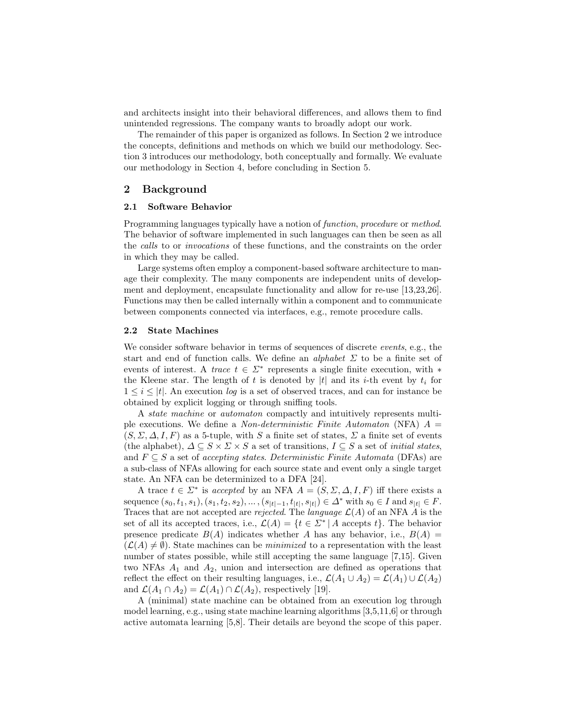and architects insight into their behavioral differences, and allows them to find unintended regressions. The company wants to broadly adopt our work.

The remainder of this paper is organized as follows. In Section [2](#page-2-0) we introduce the concepts, definitions and methods on which we build our methodology. Section [3](#page-4-0) introduces our methodology, both conceptually and formally. We evaluate our methodology in Section [4,](#page-8-0) before concluding in Section [5.](#page-17-0)

## <span id="page-2-0"></span>2 Background

## 2.1 Software Behavior

Programming languages typically have a notion of function, procedure or method. The behavior of software implemented in such languages can then be seen as all the calls to or invocations of these functions, and the constraints on the order in which they may be called.

Large systems often employ a component-based software architecture to manage their complexity. The many components are independent units of development and deployment, encapsulate functionality and allow for re-use [\[13,](#page-19-5)[23,](#page-19-6)[26\]](#page-20-2). Functions may then be called internally within a component and to communicate between components connected via interfaces, e.g., remote procedure calls.

#### 2.2 State Machines

We consider software behavior in terms of sequences of discrete *events*, e.g., the start and end of function calls. We define an *alphabet*  $\Sigma$  to be a finite set of events of interest. A *trace*  $t \in \Sigma^*$  represents a single finite execution, with  $*$ the Kleene star. The length of t is denoted by |t| and its i-th event by  $t_i$  for  $1 \leq i \leq |t|$ . An execution log is a set of observed traces, and can for instance be obtained by explicit logging or through sniffing tools.

A state machine or automaton compactly and intuitively represents multiple executions. We define a *Non-deterministic Finite Automaton* (NFA)  $A =$  $(S, \Sigma, \Delta, I, F)$  as a 5-tuple, with S a finite set of states,  $\Sigma$  a finite set of events (the alphabet),  $\Delta \subseteq S \times \Sigma \times S$  a set of transitions,  $I \subseteq S$  a set of *initial states*, and  $F \subseteq S$  a set of accepting states. Deterministic Finite Automata (DFAs) are a sub-class of NFAs allowing for each source state and event only a single target state. An NFA can be determinized to a DFA [\[24\]](#page-19-7).

A trace  $t \in \Sigma^*$  is accepted by an NFA  $A = (S, \Sigma, \Delta, I, F)$  iff there exists a sequence  $(s_0, t_1, s_1), (s_1, t_2, s_2), \dots, (s_{|t|-1}, t_{|t|}, s_{|t|}) \in \Delta^*$  with  $s_0 \in I$  and  $s_{|t|} \in F$ . Traces that are not accepted are *rejected*. The *language*  $\mathcal{L}(A)$  of an NFA A is the set of all its accepted traces, i.e.,  $\mathcal{L}(A) = \{t \in \Sigma^* | A \text{ accepts } t\}.$  The behavior presence predicate  $B(A)$  indicates whether A has any behavior, i.e.,  $B(A)$  $(\mathcal{L}(A) \neq \emptyset)$ . State machines can be *minimized* to a representation with the least number of states possible, while still accepting the same language [\[7,](#page-18-1)[15\]](#page-19-8). Given two NFAs  $A_1$  and  $A_2$ , union and intersection are defined as operations that reflect the effect on their resulting languages, i.e.,  $\mathcal{L}(A_1 \cup A_2) = \mathcal{L}(A_1) \cup \mathcal{L}(A_2)$ and  $\mathcal{L}(A_1 \cap A_2) = \mathcal{L}(A_1) \cap \mathcal{L}(A_2)$ , respectively [\[19\]](#page-19-9).

A (minimal) state machine can be obtained from an execution log through model learning, e.g., using state machine learning algorithms [\[3,](#page-18-2)[5,](#page-18-3)[11,](#page-19-10)[6\]](#page-18-4) or through active automata learning [\[5,](#page-18-3)[8\]](#page-18-5). Their details are beyond the scope of this paper.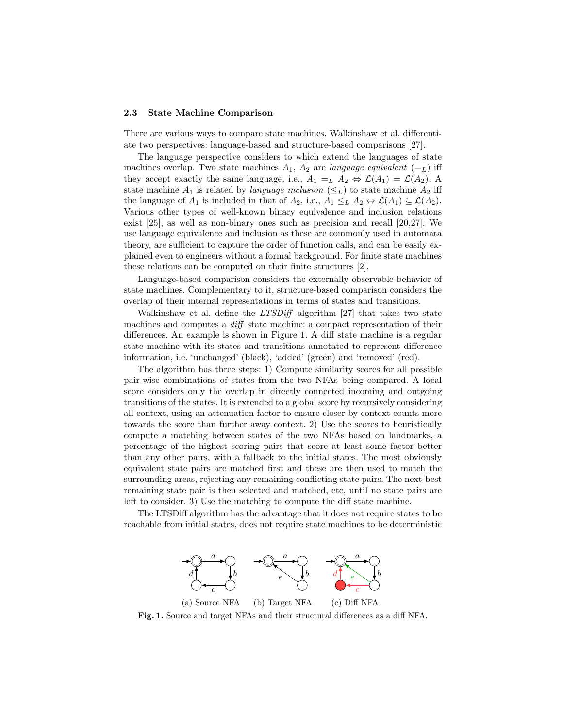#### 2.3 State Machine Comparison

There are various ways to compare state machines. Walkinshaw et al. differentiate two perspectives: language-based and structure-based comparisons [\[27\]](#page-20-1).

The language perspective considers to which extend the languages of state machines overlap. Two state machines  $A_1$ ,  $A_2$  are language equivalent  $(=_L)$  iff they accept exactly the same language, i.e.,  $A_1 =_L A_2 \Leftrightarrow \mathcal{L}(A_1) = \mathcal{L}(A_2)$ . A state machine  $A_1$  is related by *language inclusion*  $(\leq_L)$  to state machine  $A_2$  iff the language of  $A_1$  is included in that of  $A_2$ , i.e.,  $A_1 \leq_L A_2 \Leftrightarrow \mathcal{L}(A_1) \subseteq \mathcal{L}(A_2)$ . Various other types of well-known binary equivalence and inclusion relations exist [\[25\]](#page-19-11), as well as non-binary ones such as precision and recall [\[20,](#page-19-12)[27\]](#page-20-1). We use language equivalence and inclusion as these are commonly used in automata theory, are sufficient to capture the order of function calls, and can be easily explained even to engineers without a formal background. For finite state machines these relations can be computed on their finite structures [\[2\]](#page-18-6).

Language-based comparison considers the externally observable behavior of state machines. Complementary to it, structure-based comparison considers the overlap of their internal representations in terms of states and transitions.

Walkinshaw et al. define the  $LTSDiff$  algorithm [\[27\]](#page-20-1) that takes two state machines and computes a *diff* state machine: a compact representation of their differences. An example is shown in Figure [1.](#page-3-0) A diff state machine is a regular state machine with its states and transitions annotated to represent difference information, i.e. 'unchanged' (black), 'added' (green) and 'removed' (red).

The algorithm has three steps: 1) Compute similarity scores for all possible pair-wise combinations of states from the two NFAs being compared. A local score considers only the overlap in directly connected incoming and outgoing transitions of the states. It is extended to a global score by recursively considering all context, using an attenuation factor to ensure closer-by context counts more towards the score than further away context. 2) Use the scores to heuristically compute a matching between states of the two NFAs based on landmarks, a percentage of the highest scoring pairs that score at least some factor better than any other pairs, with a fallback to the initial states. The most obviously equivalent state pairs are matched first and these are then used to match the surrounding areas, rejecting any remaining conflicting state pairs. The next-best remaining state pair is then selected and matched, etc, until no state pairs are left to consider. 3) Use the matching to compute the diff state machine.

The LTSDiff algorithm has the advantage that it does not require states to be reachable from initial states, does not require state machines to be deterministic



<span id="page-3-0"></span>Fig. 1. Source and target NFAs and their structural differences as a diff NFA.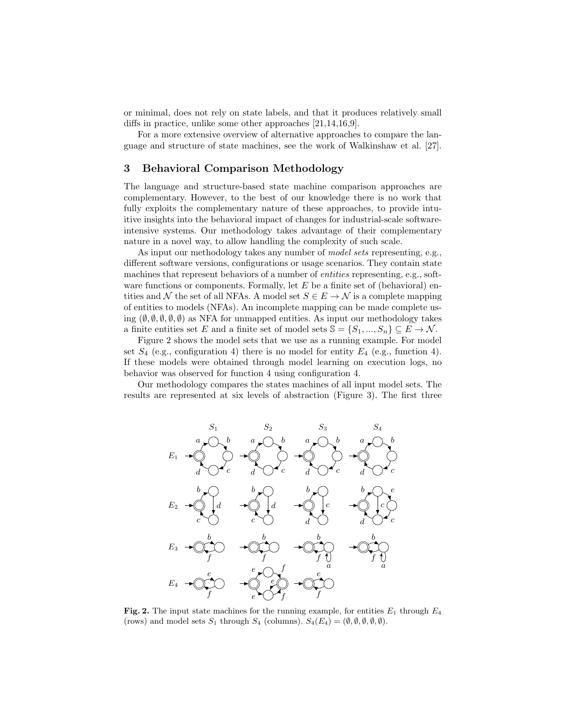or minimal, does not rely on state labels, and that it produces relatively small diffs in practice, unlike some other approaches [\[21,](#page-19-13)[14,](#page-19-14)[16,](#page-19-15)[9\]](#page-18-7).

For a more extensive overview of alternative approaches to compare the language and structure of state machines, see the work of Walkinshaw et al. [\[27\]](#page-20-1).

# <span id="page-4-0"></span>3 Behavioral Comparison Methodology

The language and structure-based state machine comparison approaches are complementary. However, to the best of our knowledge there is no work that fully exploits the complementary nature of these approaches, to provide intuitive insights into the behavioral impact of changes for industrial-scale softwareintensive systems. Our methodology takes advantage of their complementary nature in a novel way, to allow handling the complexity of such scale.

As input our methodology takes any number of *model sets* representing, e.g., different software versions, configurations or usage scenarios. They contain state machines that represent behaviors of a number of *entities* representing, e.g., software functions or components. Formally, let  $E$  be a finite set of (behavioral) entities and N the set of all NFAs. A model set  $S \in E \to N$  is a complete mapping of entities to models (NFAs). An incomplete mapping can be made complete using  $(\emptyset, \emptyset, \emptyset, \emptyset, \emptyset)$  as NFA for unmapped entities. As input our methodology takes a finite entities set E and a finite set of model sets  $\mathbb{S} = \{S_1, ..., S_n\} \subseteq E \to \mathcal{N}$ .

Figure [2](#page-4-1) shows the model sets that we use as a running example. For model set  $S_4$  (e.g., configuration 4) there is no model for entity  $E_4$  (e.g., function 4). If these models were obtained through model learning on execution logs, no behavior was observed for function 4 using configuration 4.

Our methodology compares the states machines of all input model sets. The results are represented at six levels of abstraction (Figure [3\)](#page-5-0). The first three



<span id="page-4-1"></span>**Fig. 2.** The input state machines for the running example, for entities  $E_1$  through  $E_4$ (rows) and model sets  $S_1$  through  $S_4$  (columns).  $S_4(E_4) = (\emptyset, \emptyset, \emptyset, \emptyset, \emptyset)$ .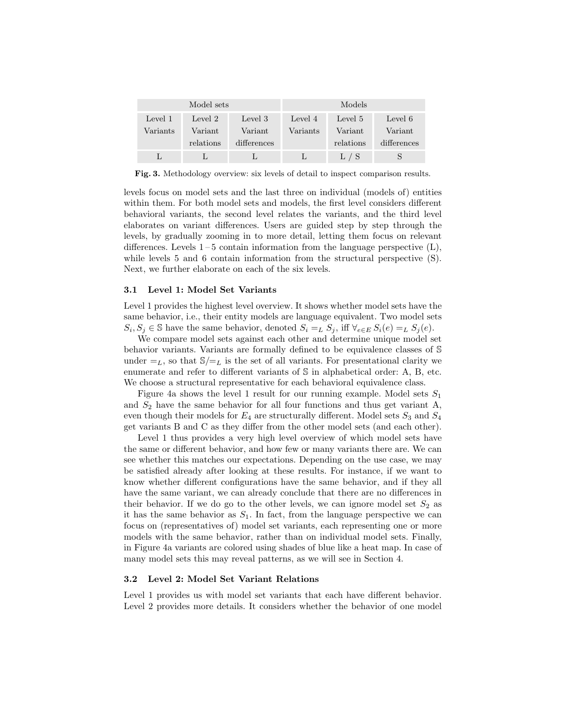|          | Model sets |             | Models   |           |             |  |
|----------|------------|-------------|----------|-----------|-------------|--|
| Level 1  | Level 2    | Level 3     | Level 4  | Level 5   | Level 6     |  |
| Variants | Variant    | Variant     | Variants | Variant   | Variant     |  |
|          | relations  | differences |          | relations | differences |  |
|          |            |             |          | L/S       |             |  |

<span id="page-5-0"></span>Fig. 3. Methodology overview: six levels of detail to inspect comparison results.

levels focus on model sets and the last three on individual (models of) entities within them. For both model sets and models, the first level considers different behavioral variants, the second level relates the variants, and the third level elaborates on variant differences. Users are guided step by step through the levels, by gradually zooming in to more detail, letting them focus on relevant differences. Levels  $1-5$  contain information from the language perspective  $(L)$ , while levels 5 and 6 contain information from the structural perspective  $(S)$ . Next, we further elaborate on each of the six levels.

#### 3.1 Level 1: Model Set Variants

Level 1 provides the highest level overview. It shows whether model sets have the same behavior, i.e., their entity models are language equivalent. Two model sets  $S_i, S_j \in \mathbb{S}$  have the same behavior, denoted  $S_i =_L S_j$ , iff  $\forall_{e \in E} S_i(e) =_L S_j(e)$ .

We compare model sets against each other and determine unique model set behavior variants. Variants are formally defined to be equivalence classes of S under  $=$ <sub>L</sub>, so that  $\mathbb{S}/=$ <sub>L</sub> is the set of all variants. For presentational clarity we enumerate and refer to different variants of S in alphabetical order: A, B, etc. We choose a structural representative for each behavioral equivalence class.

Figure [4a](#page-6-0) shows the level 1 result for our running example. Model sets  $S_1$ and  $S_2$  have the same behavior for all four functions and thus get variant A, even though their models for  $E_4$  are structurally different. Model sets  $S_3$  and  $S_4$ get variants B and C as they differ from the other model sets (and each other).

Level 1 thus provides a very high level overview of which model sets have the same or different behavior, and how few or many variants there are. We can see whether this matches our expectations. Depending on the use case, we may be satisfied already after looking at these results. For instance, if we want to know whether different configurations have the same behavior, and if they all have the same variant, we can already conclude that there are no differences in their behavior. If we do go to the other levels, we can ignore model set  $S_2$  as it has the same behavior as  $S_1$ . In fact, from the language perspective we can focus on (representatives of) model set variants, each representing one or more models with the same behavior, rather than on individual model sets. Finally, in Figure [4a](#page-6-0) variants are colored using shades of blue like a heat map. In case of many model sets this may reveal patterns, as we will see in Section [4.](#page-8-0)

### 3.2 Level 2: Model Set Variant Relations

Level 1 provides us with model set variants that each have different behavior. Level 2 provides more details. It considers whether the behavior of one model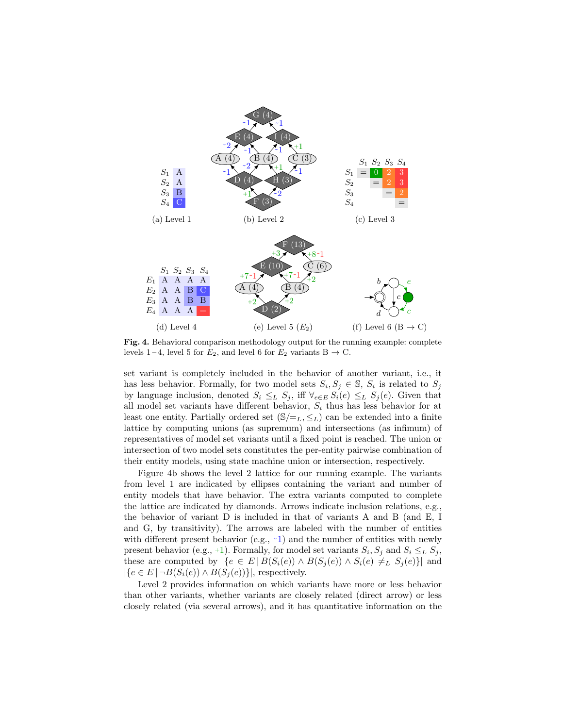<span id="page-6-2"></span><span id="page-6-1"></span><span id="page-6-0"></span>

<span id="page-6-5"></span><span id="page-6-4"></span><span id="page-6-3"></span>Fig. 4. Behavioral comparison methodology output for the running example: complete levels 1 – 4, level 5 for  $E_2$ , and level 6 for  $E_2$  variants B  $\rightarrow$  C.

set variant is completely included in the behavior of another variant, i.e., it has less behavior. Formally, for two model sets  $S_i, S_j \in \mathbb{S}, S_i$  is related to  $S_j$ by language inclusion, denoted  $S_i \leq_L S_j$ , iff  $\forall_{e \in E} S_i(e) \leq_L S_j(e)$ . Given that all model set variants have different behavior,  $S_i$  thus has less behavior for at least one entity. Partially ordered set  $(\mathcal{S}/=L, \leq_L)$  can be extended into a finite lattice by computing unions (as supremum) and intersections (as infimum) of representatives of model set variants until a fixed point is reached. The union or intersection of two model sets constitutes the per-entity pairwise combination of their entity models, using state machine union or intersection, respectively.

Figure [4b](#page-6-1) shows the level 2 lattice for our running example. The variants from level 1 are indicated by ellipses containing the variant and number of entity models that have behavior. The extra variants computed to complete the lattice are indicated by diamonds. Arrows indicate inclusion relations, e.g., the behavior of variant D is included in that of variants A and B (and E, I and G, by transitivity). The arrows are labeled with the number of entities with different present behavior (e.g.,  $\sim$ 1) and the number of entities with newly present behavior (e.g., +1). Formally, for model set variants  $S_i$ ,  $S_j$  and  $S_i \leq_L S_j$ , these are computed by  $|\{e \in E \mid B(S_i(e)) \wedge B(S_i(e)) \wedge S_i(e) \neq_L S_j(e)\}|$  and  $|\{e \in E \mid \neg B(S_i(e)) \wedge B(S_i(e))\}|$ , respectively.

Level 2 provides information on which variants have more or less behavior than other variants, whether variants are closely related (direct arrow) or less closely related (via several arrows), and it has quantitative information on the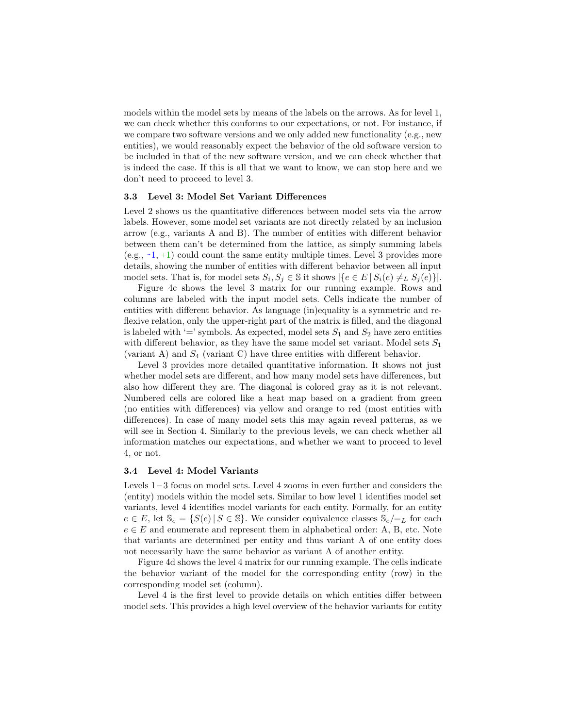models within the model sets by means of the labels on the arrows. As for level 1, we can check whether this conforms to our expectations, or not. For instance, if we compare two software versions and we only added new functionality (e.g., new entities), we would reasonably expect the behavior of the old software version to be included in that of the new software version, and we can check whether that is indeed the case. If this is all that we want to know, we can stop here and we don't need to proceed to level 3.

#### 3.3 Level 3: Model Set Variant Differences

Level 2 shows us the quantitative differences between model sets via the arrow labels. However, some model set variants are not directly related by an inclusion arrow (e.g., variants A and B). The number of entities with different behavior between them can't be determined from the lattice, as simply summing labels (e.g.,  $\sim$ 1, +1) could count the same entity multiple times. Level 3 provides more details, showing the number of entities with different behavior between all input model sets. That is, for model sets  $S_i, S_j \in \mathbb{S}$  it shows  $|\{e \in E \mid S_i(e) \neq_L S_j(e)\}|$ .

Figure [4c](#page-6-2) shows the level 3 matrix for our running example. Rows and columns are labeled with the input model sets. Cells indicate the number of entities with different behavior. As language (in)equality is a symmetric and reflexive relation, only the upper-right part of the matrix is filled, and the diagonal is labeled with '=' symbols. As expected, model sets  $S_1$  and  $S_2$  have zero entities with different behavior, as they have the same model set variant. Model sets  $S_1$ (variant A) and  $S_4$  (variant C) have three entities with different behavior.

Level 3 provides more detailed quantitative information. It shows not just whether model sets are different, and how many model sets have differences, but also how different they are. The diagonal is colored gray as it is not relevant. Numbered cells are colored like a heat map based on a gradient from green (no entities with differences) via yellow and orange to red (most entities with differences). In case of many model sets this may again reveal patterns, as we will see in Section [4.](#page-8-0) Similarly to the previous levels, we can check whether all information matches our expectations, and whether we want to proceed to level 4, or not.

## 3.4 Level 4: Model Variants

Levels  $1-3$  focus on model sets. Level  $4$  zooms in even further and considers the (entity) models within the model sets. Similar to how level 1 identifies model set variants, level 4 identifies model variants for each entity. Formally, for an entity  $e \in E$ , let  $\mathbb{S}_e = \{ S(e) \mid S \in \mathbb{S} \}$ . We consider equivalence classes  $\mathbb{S}_e \neq_{L}$  for each  $e \in E$  and enumerate and represent them in alphabetical order: A, B, etc. Note that variants are determined per entity and thus variant A of one entity does not necessarily have the same behavior as variant A of another entity.

Figure [4d](#page-6-3) shows the level 4 matrix for our running example. The cells indicate the behavior variant of the model for the corresponding entity (row) in the corresponding model set (column).

Level 4 is the first level to provide details on which entities differ between model sets. This provides a high level overview of the behavior variants for entity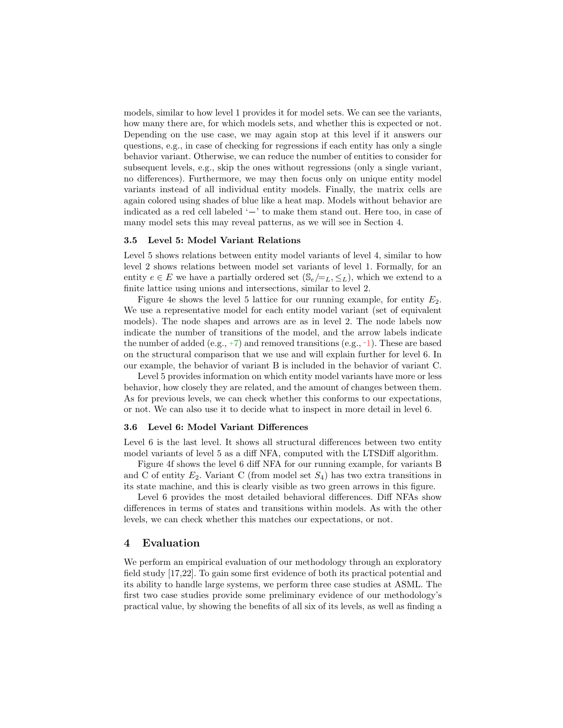models, similar to how level 1 provides it for model sets. We can see the variants, how many there are, for which models sets, and whether this is expected or not. Depending on the use case, we may again stop at this level if it answers our questions, e.g., in case of checking for regressions if each entity has only a single behavior variant. Otherwise, we can reduce the number of entities to consider for subsequent levels, e.g., skip the ones without regressions (only a single variant, no differences). Furthermore, we may then focus only on unique entity model variants instead of all individual entity models. Finally, the matrix cells are again colored using shades of blue like a heat map. Models without behavior are indicated as a red cell labeled '−' to make them stand out. Here too, in case of many model sets this may reveal patterns, as we will see in Section [4.](#page-8-0)

## 3.5 Level 5: Model Variant Relations

Level 5 shows relations between entity model variants of level 4, similar to how level 2 shows relations between model set variants of level 1. Formally, for an entity  $e \in E$  we have a partially ordered set  $(\mathbb{S}_e/\equiv_L, \leq_L)$ , which we extend to a finite lattice using unions and intersections, similar to level 2.

Figure [4e](#page-6-4) shows the level 5 lattice for our running example, for entity  $E_2$ . We use a representative model for each entity model variant (set of equivalent models). The node shapes and arrows are as in level 2. The node labels now indicate the number of transitions of the model, and the arrow labels indicate the number of added (e.g.,  $+7$ ) and removed transitions (e.g.,  $-1$ ). These are based on the structural comparison that we use and will explain further for level 6. In our example, the behavior of variant B is included in the behavior of variant C.

Level 5 provides information on which entity model variants have more or less behavior, how closely they are related, and the amount of changes between them. As for previous levels, we can check whether this conforms to our expectations, or not. We can also use it to decide what to inspect in more detail in level 6.

#### 3.6 Level 6: Model Variant Differences

Level 6 is the last level. It shows all structural differences between two entity model variants of level 5 as a diff NFA, computed with the LTSDiff algorithm.

Figure [4f](#page-6-5) shows the level 6 diff NFA for our running example, for variants B and C of entity  $E_2$ . Variant C (from model set  $S_4$ ) has two extra transitions in its state machine, and this is clearly visible as two green arrows in this figure.

Level 6 provides the most detailed behavioral differences. Diff NFAs show differences in terms of states and transitions within models. As with the other levels, we can check whether this matches our expectations, or not.

#### <span id="page-8-0"></span>4 Evaluation

We perform an empirical evaluation of our methodology through an exploratory field study [\[17](#page-19-3)[,22\]](#page-19-4). To gain some first evidence of both its practical potential and its ability to handle large systems, we perform three case studies at ASML. The first two case studies provide some preliminary evidence of our methodology's practical value, by showing the benefits of all six of its levels, as well as finding a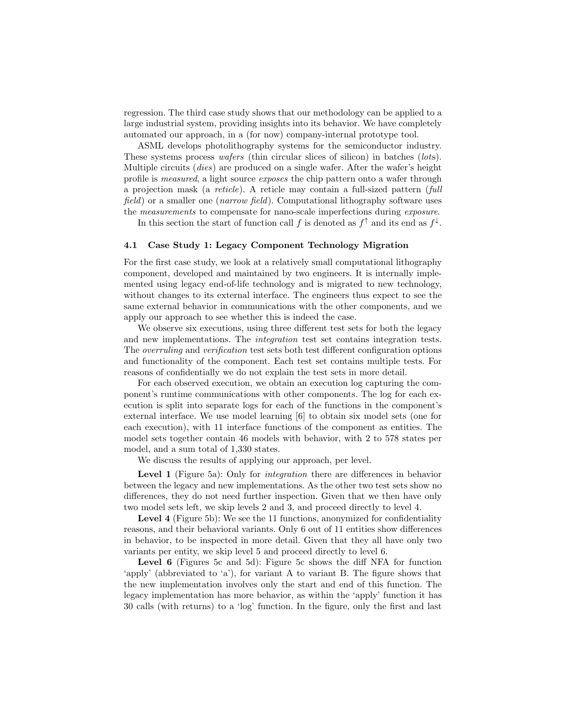regression. The third case study shows that our methodology can be applied to a large industrial system, providing insights into its behavior. We have completely automated our approach, in a (for now) company-internal prototype tool.

ASML develops photolithography systems for the semiconductor industry. These systems process wafers (thin circular slices of silicon) in batches (lots). Multiple circuits (dies) are produced on a single wafer. After the wafer's height profile is measured, a light source exposes the chip pattern onto a wafer through a projection mask (a reticle). A reticle may contain a full-sized pattern (full field) or a smaller one (*narrow field*). Computational lithography software uses the measurements to compensate for nano-scale imperfections during exposure.

In this section the start of function call f is denoted as  $f^{\dagger}$  and its end as  $f^{\dagger}$ .

## 4.1 Case Study 1: Legacy Component Technology Migration

For the first case study, we look at a relatively small computational lithography component, developed and maintained by two engineers. It is internally implemented using legacy end-of-life technology and is migrated to new technology, without changes to its external interface. The engineers thus expect to see the same external behavior in communications with the other components, and we apply our approach to see whether this is indeed the case.

We observe six executions, using three different test sets for both the legacy and new implementations. The *integration* test set contains integration tests. The *overruling* and *verification* test sets both test different configuration options and functionality of the component. Each test set contains multiple tests. For reasons of confidentially we do not explain the test sets in more detail.

For each observed execution, we obtain an execution log capturing the component's runtime communications with other components. The log for each execution is split into separate logs for each of the functions in the component's external interface. We use model learning [\[6\]](#page-18-4) to obtain six model sets (one for each execution), with 11 interface functions of the component as entities. The model sets together contain 46 models with behavior, with 2 to 578 states per model, and a sum total of 1,330 states.

We discuss the results of applying our approach, per level.

Level 1 (Figure [5a\)](#page-10-0): Only for integration there are differences in behavior between the legacy and new implementations. As the other two test sets show no differences, they do not need further inspection. Given that we then have only two model sets left, we skip levels 2 and 3, and proceed directly to level 4.

Level 4 (Figure [5b\)](#page-10-1): We see the 11 functions, anonymized for confidentiality reasons, and their behavioral variants. Only 6 out of 11 entities show differences in behavior, to be inspected in more detail. Given that they all have only two variants per entity, we skip level 5 and proceed directly to level 6.

Level 6 (Figures [5c](#page-10-2) and [5d\)](#page-10-3): Figure [5c](#page-10-2) shows the diff NFA for function 'apply' (abbreviated to 'a'), for variant A to variant B. The figure shows that the new implementation involves only the start and end of this function. The legacy implementation has more behavior, as within the 'apply' function it has 30 calls (with returns) to a 'log' function. In the figure, only the first and last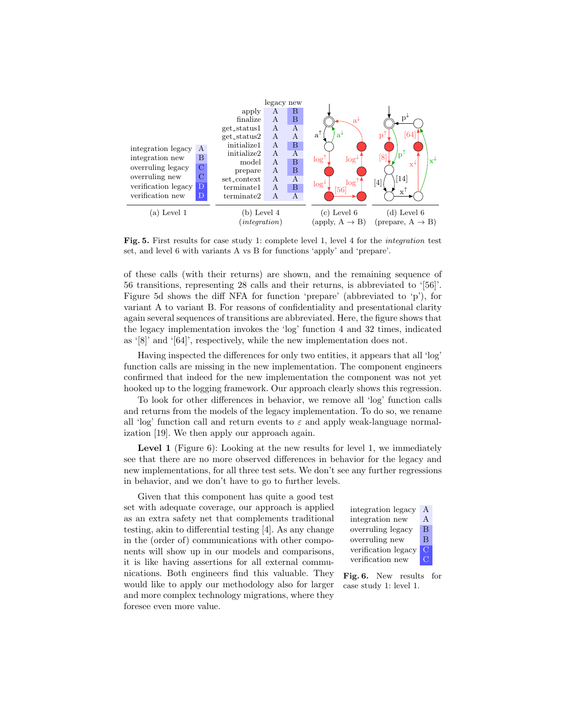

<span id="page-10-3"></span><span id="page-10-2"></span><span id="page-10-1"></span><span id="page-10-0"></span>Fig. 5. First results for case study 1: complete level 1, level 4 for the integration test set, and level 6 with variants A vs B for functions 'apply' and 'prepare'.

of these calls (with their returns) are shown, and the remaining sequence of 56 transitions, representing 28 calls and their returns, is abbreviated to '[56]'. Figure [5d](#page-10-3) shows the diff NFA for function 'prepare' (abbreviated to 'p'), for variant A to variant B. For reasons of confidentiality and presentational clarity again several sequences of transitions are abbreviated. Here, the figure shows that the legacy implementation invokes the 'log' function 4 and 32 times, indicated as '[8]' and '[64]', respectively, while the new implementation does not.

Having inspected the differences for only two entities, it appears that all 'log' function calls are missing in the new implementation. The component engineers confirmed that indeed for the new implementation the component was not yet hooked up to the logging framework. Our approach clearly shows this regression.

To look for other differences in behavior, we remove all 'log' function calls and returns from the models of the legacy implementation. To do so, we rename all 'log' function call and return events to  $\varepsilon$  and apply weak-language normalization [\[19\]](#page-19-9). We then apply our approach again.

Level 1 (Figure [6\)](#page-10-4): Looking at the new results for level 1, we immediately see that there are no more observed differences in behavior for the legacy and new implementations, for all three test sets. We don't see any further regressions in behavior, and we don't have to go to further levels.

Given that this component has quite a good test set with adequate coverage, our approach is applied as an extra safety net that complements traditional testing, akin to differential testing [\[4\]](#page-18-0). As any change in the (order of) communications with other components will show up in our models and comparisons, it is like having assertions for all external communications. Both engineers find this valuable. They would like to apply our methodology also for larger and more complex technology migrations, where they foresee even more value.

| integration legacy  | A            |
|---------------------|--------------|
| integration new     | $\mathbf{A}$ |
| overruling legacy   | B            |
| overruling new      | B            |
| verification legacy |              |
| verification new    |              |

<span id="page-10-4"></span>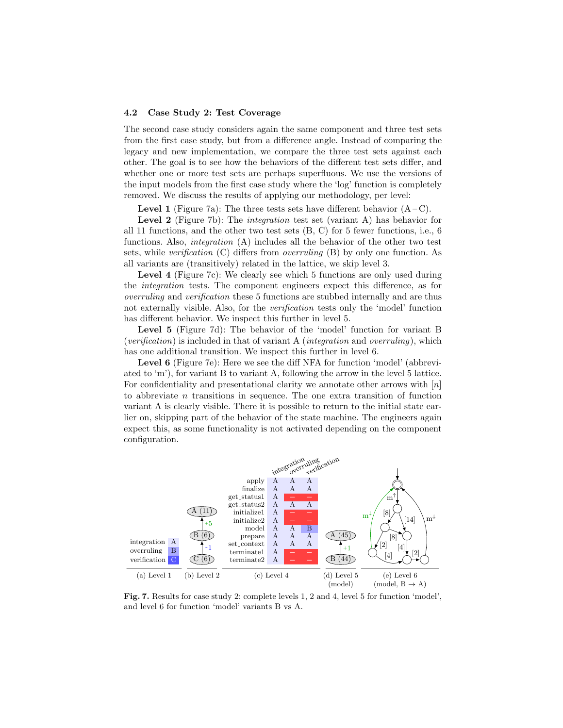#### 4.2 Case Study 2: Test Coverage

The second case study considers again the same component and three test sets from the first case study, but from a difference angle. Instead of comparing the legacy and new implementation, we compare the three test sets against each other. The goal is to see how the behaviors of the different test sets differ, and whether one or more test sets are perhaps superfluous. We use the versions of the input models from the first case study where the 'log' function is completely removed. We discuss the results of applying our methodology, per level:

**Level 1** (Figure [7a\)](#page-11-0): The three tests sets have different behavior  $(A - C)$ .

Level 2 (Figure [7b\)](#page-11-1): The *integration* test set (variant A) has behavior for all 11 functions, and the other two test sets (B, C) for 5 fewer functions, i.e., 6 functions. Also, integration (A) includes all the behavior of the other two test sets, while *verification* (C) differs from *overruling* (B) by only one function. As all variants are (transitively) related in the lattice, we skip level 3.

Level 4 (Figure [7c\)](#page-11-2): We clearly see which 5 functions are only used during the integration tests. The component engineers expect this difference, as for overruling and verification these 5 functions are stubbed internally and are thus not externally visible. Also, for the verification tests only the 'model' function has different behavior. We inspect this further in level 5.

Level 5 (Figure [7d\)](#page-11-3): The behavior of the 'model' function for variant B (verification) is included in that of variant A (integration and overruling), which has one additional transition. We inspect this further in level 6.

Level 6 (Figure [7e\)](#page-11-4): Here we see the diff NFA for function 'model' (abbreviated to 'm'), for variant B to variant A, following the arrow in the level 5 lattice. For confidentiality and presentational clarity we annotate other arrows with  $[n]$ to abbreviate  $n$  transitions in sequence. The one extra transition of function variant A is clearly visible. There it is possible to return to the initial state earlier on, skipping part of the behavior of the state machine. The engineers again expect this, as some functionality is not activated depending on the component configuration.



<span id="page-11-4"></span><span id="page-11-3"></span><span id="page-11-2"></span><span id="page-11-1"></span><span id="page-11-0"></span>Fig. 7. Results for case study 2: complete levels 1, 2 and 4, level 5 for function 'model', and level 6 for function 'model' variants B vs A.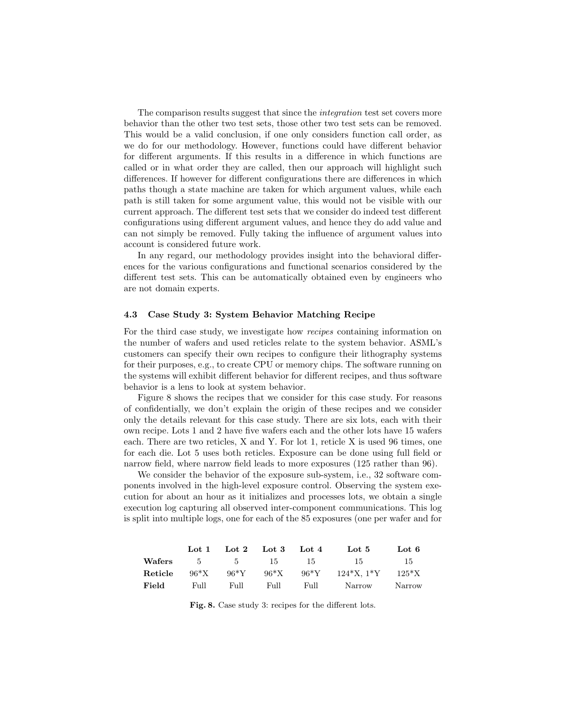The comparison results suggest that since the *integration* test set covers more behavior than the other two test sets, those other two test sets can be removed. This would be a valid conclusion, if one only considers function call order, as we do for our methodology. However, functions could have different behavior for different arguments. If this results in a difference in which functions are called or in what order they are called, then our approach will highlight such differences. If however for different configurations there are differences in which paths though a state machine are taken for which argument values, while each path is still taken for some argument value, this would not be visible with our current approach. The different test sets that we consider do indeed test different configurations using different argument values, and hence they do add value and can not simply be removed. Fully taking the influence of argument values into account is considered future work.

In any regard, our methodology provides insight into the behavioral differences for the various configurations and functional scenarios considered by the different test sets. This can be automatically obtained even by engineers who are not domain experts.

#### 4.3 Case Study 3: System Behavior Matching Recipe

For the third case study, we investigate how recipes containing information on the number of wafers and used reticles relate to the system behavior. ASML's customers can specify their own recipes to configure their lithography systems for their purposes, e.g., to create CPU or memory chips. The software running on the systems will exhibit different behavior for different recipes, and thus software behavior is a lens to look at system behavior.

Figure [8](#page-12-0) shows the recipes that we consider for this case study. For reasons of confidentially, we don't explain the origin of these recipes and we consider only the details relevant for this case study. There are six lots, each with their own recipe. Lots 1 and 2 have five wafers each and the other lots have 15 wafers each. There are two reticles, X and Y. For lot 1, reticle X is used 96 times, one for each die. Lot 5 uses both reticles. Exposure can be done using full field or narrow field, where narrow field leads to more exposures (125 rather than 96).

We consider the behavior of the exposure sub-system, i.e., 32 software components involved in the high-level exposure control. Observing the system execution for about an hour as it initializes and processes lots, we obtain a single execution log capturing all observed inter-component communications. This log is split into multiple logs, one for each of the 85 exposures (one per wafer and for

|         |         | Lot 1 Lot 2 Lot 3 Lot 4 |      |      | Lot 5                                         | Lot $6$ |
|---------|---------|-------------------------|------|------|-----------------------------------------------|---------|
| Wafers  |         |                         |      |      | 5 5 15 15 15                                  | -15     |
| Reticle | $96*$ X | $96*V$                  |      |      | $96^*$ X $96^*$ Y $124^*$ X, 1 <sup>*</sup> Y | $125*X$ |
| Field   | Full    | Full                    | Full | Full | Narrow                                        | Narrow  |

<span id="page-12-0"></span>Fig. 8. Case study 3: recipes for the different lots.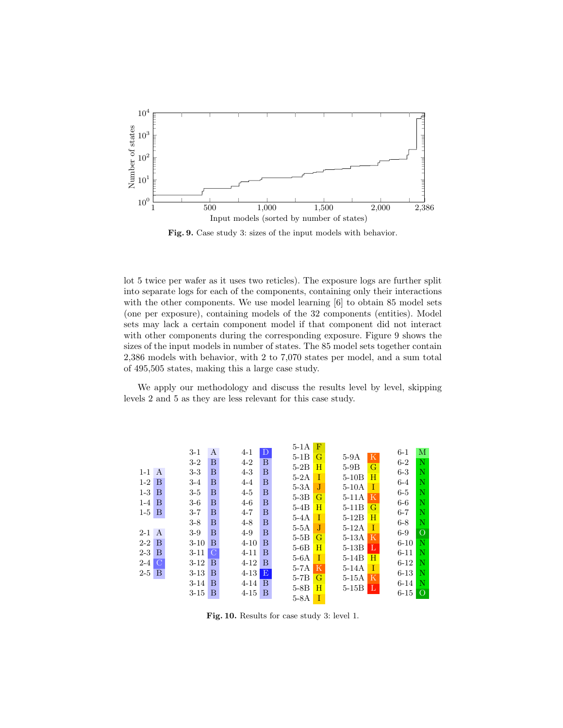

<span id="page-13-0"></span>Fig. 9. Case study 3: sizes of the input models with behavior.

lot 5 twice per wafer as it uses two reticles). The exposure logs are further split into separate logs for each of the components, containing only their interactions with the other components. We use model learning [\[6\]](#page-18-4) to obtain 85 model sets (one per exposure), containing models of the 32 components (entities). Model sets may lack a certain component model if that component did not interact with other components during the corresponding exposure. Figure [9](#page-13-0) shows the sizes of the input models in number of states. The 85 model sets together contain 2,386 models with behavior, with 2 to 7,070 states per model, and a sum total of 495,505 states, making this a large case study.

We apply our methodology and discuss the results level by level, skipping levels 2 and 5 as they are less relevant for this case study.

|         |               |          |   |          |              | $5-1A$   | F            |         |              |          |                |
|---------|---------------|----------|---|----------|--------------|----------|--------------|---------|--------------|----------|----------------|
|         |               | $3-1$    | A | $4 - 1$  | D            |          |              |         |              | $6 - 1$  | $\mathbf{M}$   |
|         |               | $3-2$    | B | $4 - 2$  | B            | $5-1B$   | G            | $5-9A$  | $\bf K$      | $6-2$    | N              |
| $1 - 1$ | $\mathbf{A}$  | $3-3$    | Β | $4-3$    | B            | $5-2B$   | H            | $5-9B$  | G            | $6-3$    | N              |
|         |               |          |   |          |              | $5-2A$   | $\mathbf{I}$ | $5-10B$ | H            |          |                |
| $1-2$   | B             | $3-4$    | B | $4 - 4$  | В            | $5-3A$   | $\mathbf{J}$ | $5-10A$ | $\mathbf{I}$ | $6-4$    | N              |
| $1-3$   | B             | $3-5$    | B | $4 - 5$  | B            |          |              |         |              | $6 - 5$  | N              |
| $1-4$   | B             | $3-6$    | B | $4-6$    | B            | $5-3B$   | G            | $5-11A$ | Κ            | $6-6$    | N              |
| $1-5$   | B             | $3 - 7$  | B | $4 - 7$  | B            | $5-4B$   | H            | $5-11B$ | G            | $6 - 7$  | N              |
|         |               |          |   |          |              | $5-4A$   | $\mathbf{I}$ | $5-12B$ | H            |          |                |
|         |               | $3-8$    | Β | $4 - 8$  | В            | $5-5A$   | J            | $5-12A$ | $\mathbf{I}$ | $6 - 8$  | N              |
| $2 - 1$ | $\mathbf{A}$  | $3-9$    | B | $4 - 9$  | B            |          |              |         |              | $6-9$    | $\overline{O}$ |
| $2 - 2$ | B             | $3-10$   | B | $4 - 10$ | Β            | $5-5B$   | G            | $5-13A$ | Κ            | $6 - 10$ | N              |
|         |               |          |   |          |              | $5-6B$   | H            | $5-13B$ | L            |          |                |
| $2 - 3$ | B             | $3-11$   | С | $4 - 11$ | B            | $5-6A$   | $\mathbf{I}$ | $5-14B$ | H            | $6 - 11$ | N              |
| $2 - 4$ | $\mathcal{C}$ | $3-12$   | B | $4 - 12$ | B            |          |              |         |              | $6 - 12$ | N              |
| $2-5$   | B             | $3-13$   | B | $4 - 13$ | $\mathbf{E}$ | $5-7A$   | $_{\rm K}$   | $5-14A$ | $\mathbf{I}$ | $6 - 13$ | N              |
|         |               | $3-14$   | B | $4 - 14$ | B            | $5-7B$   | G            | 5-15A   | Κ            |          | N              |
|         |               |          |   |          |              | $5 - 8B$ | H            | $5-15B$ | L            | $6 - 14$ |                |
|         |               | $3 - 15$ | B | $4 - 15$ | B            | $5-8A$   | $\mathbf I$  |         |              | $6 - 15$ | $\overline{O}$ |
|         |               |          |   |          |              |          |              |         |              |          |                |

<span id="page-13-1"></span>Fig. 10. Results for case study 3: level 1.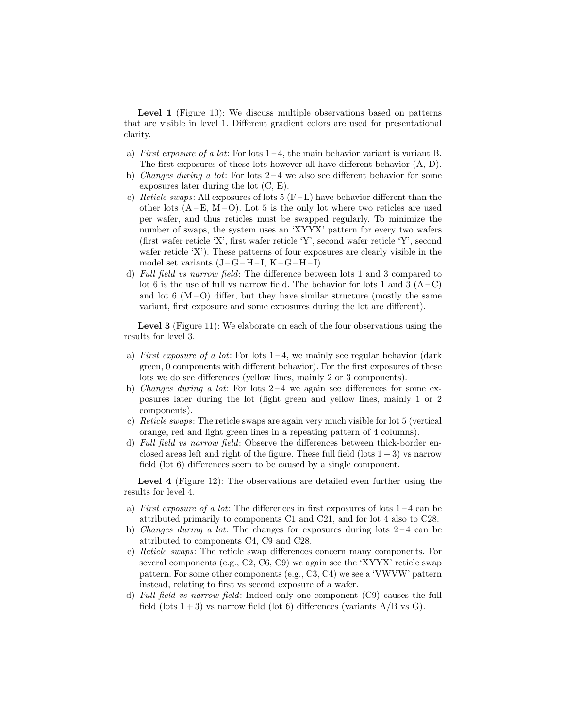Level 1 (Figure [10\)](#page-13-1): We discuss multiple observations based on patterns that are visible in level 1. Different gradient colors are used for presentational clarity.

- a) First exposure of a lot: For lots  $1-4$ , the main behavior variant is variant B. The first exposures of these lots however all have different behavior (A, D).
- b) Changes during a lot: For lots  $2-4$  we also see different behavior for some exposures later during the lot (C, E).
- c) Reticle swaps: All exposures of lots  $5(F-L)$  have behavior different than the other lots  $(A - E, M - O)$ . Lot 5 is the only lot where two reticles are used per wafer, and thus reticles must be swapped regularly. To minimize the number of swaps, the system uses an 'XYYX' pattern for every two wafers (first wafer reticle 'X', first wafer reticle 'Y', second wafer reticle 'Y', second wafer reticle  $(X')$ . These patterns of four exposures are clearly visible in the model set variants  $(J - G - H - I, K - G - H - I)$ .
- d) Full field vs narrow field: The difference between lots 1 and 3 compared to lot 6 is the use of full vs narrow field. The behavior for lots 1 and 3  $(A-C)$ and lot  $6 (M - O)$  differ, but they have similar structure (mostly the same variant, first exposure and some exposures during the lot are different).

Level 3 (Figure [11\)](#page-15-0): We elaborate on each of the four observations using the results for level 3.

- a) First exposure of a lot: For lots  $1-4$ , we mainly see regular behavior (dark green, 0 components with different behavior). For the first exposures of these lots we do see differences (yellow lines, mainly 2 or 3 components).
- b) Changes during a lot: For lots  $2-4$  we again see differences for some exposures later during the lot (light green and yellow lines, mainly 1 or 2 components).
- c) Reticle swaps: The reticle swaps are again very much visible for lot 5 (vertical orange, red and light green lines in a repeating pattern of 4 columns).
- d) Full field vs narrow field: Observe the differences between thick-border enclosed areas left and right of the figure. These full field (lots  $1+3$ ) vs narrow field (lot 6) differences seem to be caused by a single component.

Level 4 (Figure [12\)](#page-16-0): The observations are detailed even further using the results for level 4.

- a) First exposure of a lot: The differences in first exposures of lots  $1-4$  can be attributed primarily to components C1 and C21, and for lot 4 also to C28.
- b) Changes during a lot: The changes for exposures during lots  $2-4$  can be attributed to components C4, C9 and C28.
- c) Reticle swaps: The reticle swap differences concern many components. For several components (e.g., C2, C6, C9) we again see the 'XYYX' reticle swap pattern. For some other components (e.g., C3, C4) we see a 'VWVW' pattern instead, relating to first vs second exposure of a wafer.
- d) Full field vs narrow field: Indeed only one component (C9) causes the full field (lots  $1+3$ ) vs narrow field (lot 6) differences (variants  $A/B$  vs G).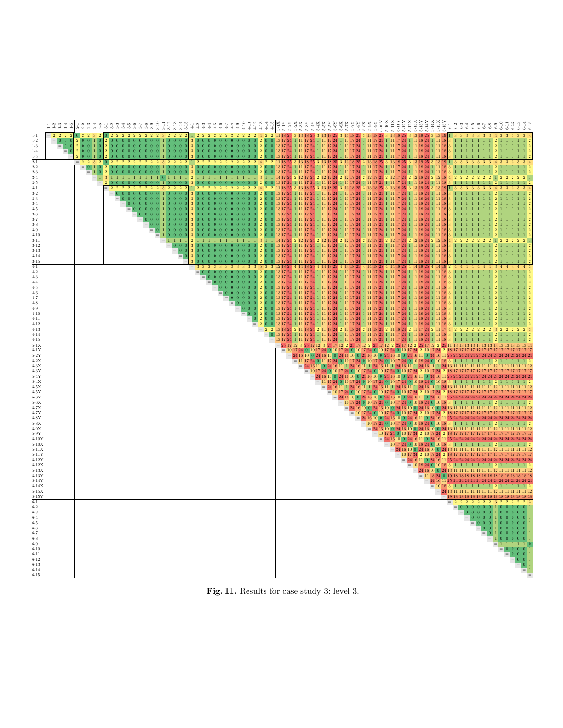

<span id="page-15-0"></span>Fig. 11. Results for case study 3: level 3.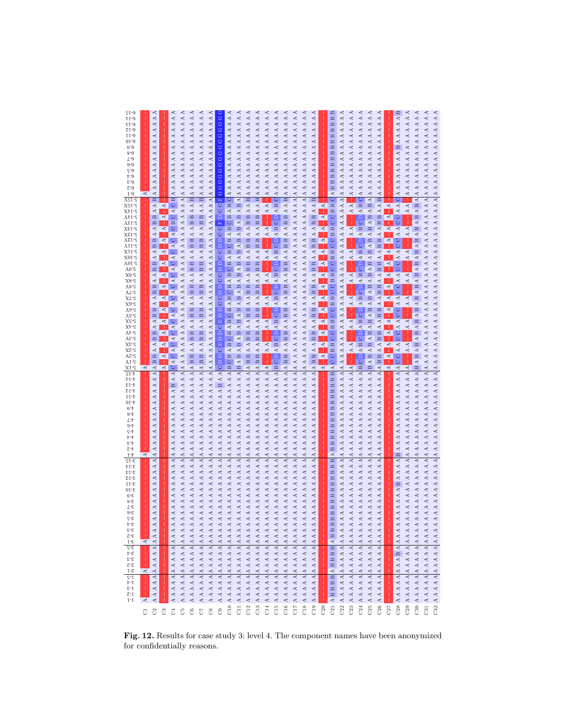

<span id="page-16-0"></span>Fig. 12. Results for case study 3: level 4. The component names have been anonymized for confidentially reasons.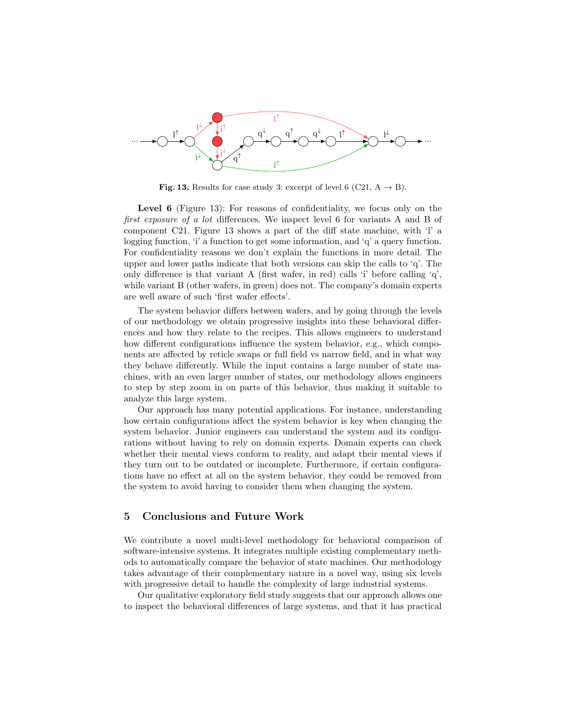

<span id="page-17-1"></span>Fig. 13. Results for case study 3: excerpt of level 6 (C21, A  $\rightarrow$  B).

Level 6 (Figure [13\)](#page-17-1): For reasons of confidentiality, we focus only on the first exposure of a lot differences. We inspect level 6 for variants A and B of component C21. Figure [13](#page-17-1) shows a part of the diff state machine, with 'l' a logging function, 'i' a function to get some information, and 'q' a query function. For confidentiality reasons we don't explain the functions in more detail. The upper and lower paths indicate that both versions can skip the calls to 'q'. The only difference is that variant A (first wafer, in red) calls 'i' before calling 'q', while variant B (other wafers, in green) does not. The company's domain experts are well aware of such 'first wafer effects'.

The system behavior differs between wafers, and by going through the levels of our methodology we obtain progressive insights into these behavioral differences and how they relate to the recipes. This allows engineers to understand how different configurations influence the system behavior, e.g., which components are affected by reticle swaps or full field vs narrow field, and in what way they behave differently. While the input contains a large number of state machines, with an even larger number of states, our methodology allows engineers to step by step zoom in on parts of this behavior, thus making it suitable to analyze this large system.

Our approach has many potential applications. For instance, understanding how certain configurations affect the system behavior is key when changing the system behavior. Junior engineers can understand the system and its configurations without having to rely on domain experts. Domain experts can check whether their mental views conform to reality, and adapt their mental views if they turn out to be outdated or incomplete. Furthermore, if certain configurations have no effect at all on the system behavior, they could be removed from the system to avoid having to consider them when changing the system.

# <span id="page-17-0"></span>5 Conclusions and Future Work

We contribute a novel multi-level methodology for behavioral comparison of software-intensive systems. It integrates multiple existing complementary methods to automatically compare the behavior of state machines. Our methodology takes advantage of their complementary nature in a novel way, using six levels with progressive detail to handle the complexity of large industrial systems.

Our qualitative exploratory field study suggests that our approach allows one to inspect the behavioral differences of large systems, and that it has practical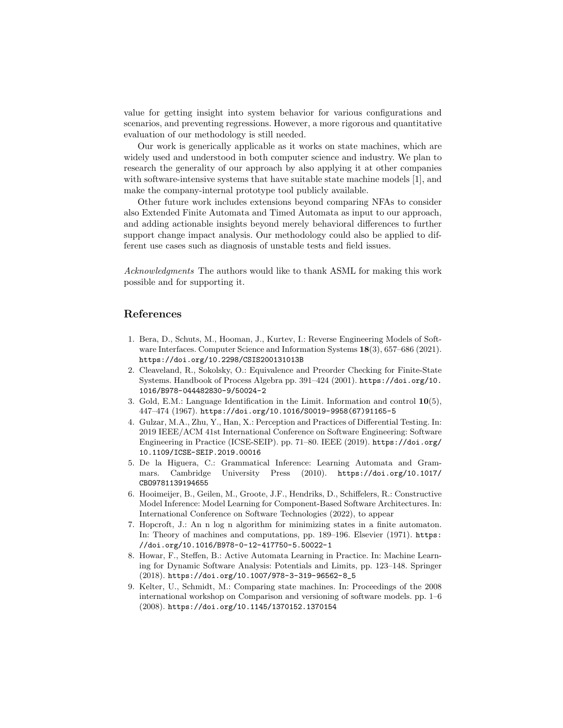value for getting insight into system behavior for various configurations and scenarios, and preventing regressions. However, a more rigorous and quantitative evaluation of our methodology is still needed.

Our work is generically applicable as it works on state machines, which are widely used and understood in both computer science and industry. We plan to research the generality of our approach by also applying it at other companies with software-intensive systems that have suitable state machine models [\[1\]](#page-18-8), and make the company-internal prototype tool publicly available.

Other future work includes extensions beyond comparing NFAs to consider also Extended Finite Automata and Timed Automata as input to our approach, and adding actionable insights beyond merely behavioral differences to further support change impact analysis. Our methodology could also be applied to different use cases such as diagnosis of unstable tests and field issues.

Acknowledgments The authors would like to thank ASML for making this work possible and for supporting it.

# References

- <span id="page-18-8"></span>1. Bera, D., Schuts, M., Hooman, J., Kurtev, I.: Reverse Engineering Models of Software Interfaces. Computer Science and Information Systems 18(3), 657–686 (2021). <https://doi.org/10.2298/CSIS200131013B>
- <span id="page-18-6"></span>2. Cleaveland, R., Sokolsky, O.: Equivalence and Preorder Checking for Finite-State Systems. Handbook of Process Algebra pp. 391–424 (2001). [https://doi.org/10.](https://doi.org/10.1016/B978-044482830-9/50024-2) [1016/B978-044482830-9/50024-2](https://doi.org/10.1016/B978-044482830-9/50024-2)
- <span id="page-18-2"></span>3. Gold, E.M.: Language Identification in the Limit. Information and control 10(5), 447–474 (1967). [https://doi.org/10.1016/S0019-9958\(67\)91165-5](https://doi.org/10.1016/S0019-9958(67)91165-5)
- <span id="page-18-0"></span>4. Gulzar, M.A., Zhu, Y., Han, X.: Perception and Practices of Differential Testing. In: 2019 IEEE/ACM 41st International Conference on Software Engineering: Software Engineering in Practice (ICSE-SEIP). pp. 71–80. IEEE (2019). [https://doi.org/](https://doi.org/10.1109/ICSE-SEIP.2019.00016) [10.1109/ICSE-SEIP.2019.00016](https://doi.org/10.1109/ICSE-SEIP.2019.00016)
- <span id="page-18-3"></span>5. De la Higuera, C.: Grammatical Inference: Learning Automata and Grammars. Cambridge University Press (2010). [https://doi.org/10.1017/](https://doi.org/10.1017/CBO9781139194655) [CBO9781139194655](https://doi.org/10.1017/CBO9781139194655)
- <span id="page-18-4"></span>6. Hooimeijer, B., Geilen, M., Groote, J.F., Hendriks, D., Schiffelers, R.: Constructive Model Inference: Model Learning for Component-Based Software Architectures. In: International Conference on Software Technologies (2022), to appear
- <span id="page-18-1"></span>7. Hopcroft, J.: An n log n algorithm for minimizing states in a finite automaton. In: Theory of machines and computations, pp. 189–196. Elsevier (1971). [https:](https://doi.org/10.1016/B978-0-12-417750-5.50022-1) [//doi.org/10.1016/B978-0-12-417750-5.50022-1](https://doi.org/10.1016/B978-0-12-417750-5.50022-1)
- <span id="page-18-5"></span>8. Howar, F., Steffen, B.: Active Automata Learning in Practice. In: Machine Learning for Dynamic Software Analysis: Potentials and Limits, pp. 123–148. Springer (2018). [https://doi.org/10.1007/978-3-319-96562-8\\_5](https://doi.org/10.1007/978-3-319-96562-8_5)
- <span id="page-18-7"></span>9. Kelter, U., Schmidt, M.: Comparing state machines. In: Proceedings of the 2008 international workshop on Comparison and versioning of software models. pp. 1–6 (2008). <https://doi.org/10.1145/1370152.1370154>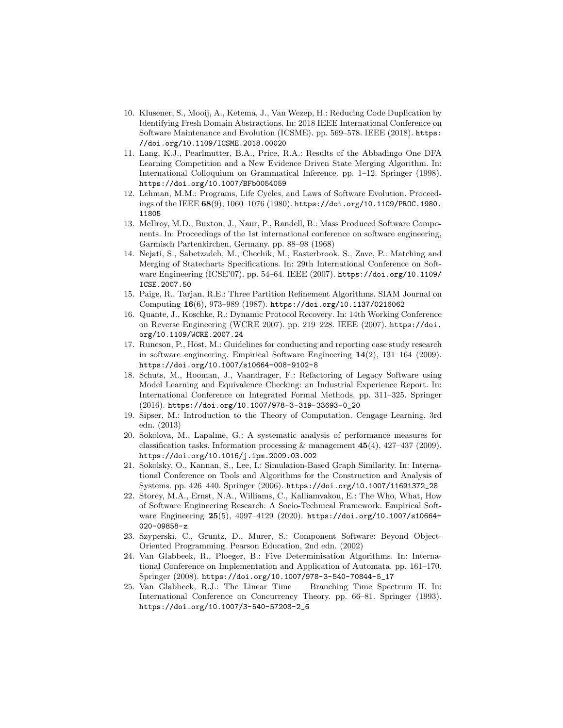- <span id="page-19-0"></span>10. Klusener, S., Mooij, A., Ketema, J., Van Wezep, H.: Reducing Code Duplication by Identifying Fresh Domain Abstractions. In: 2018 IEEE International Conference on Software Maintenance and Evolution (ICSME). pp. 569–578. IEEE (2018). [https:](https://doi.org/10.1109/ICSME.2018.00020) [//doi.org/10.1109/ICSME.2018.00020](https://doi.org/10.1109/ICSME.2018.00020)
- <span id="page-19-10"></span>11. Lang, K.J., Pearlmutter, B.A., Price, R.A.: Results of the Abbadingo One DFA Learning Competition and a New Evidence Driven State Merging Algorithm. In: International Colloquium on Grammatical Inference. pp. 1–12. Springer (1998). <https://doi.org/10.1007/BFb0054059>
- <span id="page-19-1"></span>12. Lehman, M.M.: Programs, Life Cycles, and Laws of Software Evolution. Proceedings of the IEEE 68(9), 1060–1076 (1980). [https://doi.org/10.1109/PROC.1980.](https://doi.org/10.1109/PROC.1980.11805) [11805](https://doi.org/10.1109/PROC.1980.11805)
- <span id="page-19-5"></span>13. McIlroy, M.D., Buxton, J., Naur, P., Randell, B.: Mass Produced Software Components. In: Proceedings of the 1st international conference on software engineering, Garmisch Partenkirchen, Germany. pp. 88–98 (1968)
- <span id="page-19-14"></span>14. Nejati, S., Sabetzadeh, M., Chechik, M., Easterbrook, S., Zave, P.: Matching and Merging of Statecharts Specifications. In: 29th International Conference on Software Engineering (ICSE'07). pp. 54–64. IEEE (2007). [https://doi.org/10.1109/](https://doi.org/10.1109/ICSE.2007.50) [ICSE.2007.50](https://doi.org/10.1109/ICSE.2007.50)
- <span id="page-19-8"></span>15. Paige, R., Tarjan, R.E.: Three Partition Refinement Algorithms. SIAM Journal on Computing 16(6), 973–989 (1987). <https://doi.org/10.1137/0216062>
- <span id="page-19-15"></span>16. Quante, J., Koschke, R.: Dynamic Protocol Recovery. In: 14th Working Conference on Reverse Engineering (WCRE 2007). pp. 219–228. IEEE (2007). [https://doi.](https://doi.org/10.1109/WCRE.2007.24) [org/10.1109/WCRE.2007.24](https://doi.org/10.1109/WCRE.2007.24)
- <span id="page-19-3"></span>17. Runeson, P., Höst, M.: Guidelines for conducting and reporting case study research in software engineering. Empirical Software Engineering 14(2), 131–164 (2009). <https://doi.org/10.1007/s10664-008-9102-8>
- <span id="page-19-2"></span>18. Schuts, M., Hooman, J., Vaandrager, F.: Refactoring of Legacy Software using Model Learning and Equivalence Checking: an Industrial Experience Report. In: International Conference on Integrated Formal Methods. pp. 311–325. Springer (2016). [https://doi.org/10.1007/978-3-319-33693-0\\_20](https://doi.org/10.1007/978-3-319-33693-0_20)
- <span id="page-19-9"></span>19. Sipser, M.: Introduction to the Theory of Computation. Cengage Learning, 3rd edn. (2013)
- <span id="page-19-12"></span>20. Sokolova, M., Lapalme, G.: A systematic analysis of performance measures for classification tasks. Information processing  $\&$  management 45(4), 427–437 (2009). <https://doi.org/10.1016/j.ipm.2009.03.002>
- <span id="page-19-13"></span>21. Sokolsky, O., Kannan, S., Lee, I.: Simulation-Based Graph Similarity. In: International Conference on Tools and Algorithms for the Construction and Analysis of Systems. pp. 426–440. Springer (2006). [https://doi.org/10.1007/11691372\\_28](https://doi.org/10.1007/11691372_28)
- <span id="page-19-4"></span>22. Storey, M.A., Ernst, N.A., Williams, C., Kalliamvakou, E.: The Who, What, How of Software Engineering Research: A Socio-Technical Framework. Empirical Software Engineering 25(5), 4097–4129 (2020). [https://doi.org/10.1007/s10664-](https://doi.org/10.1007/s10664-020-09858-z) [020-09858-z](https://doi.org/10.1007/s10664-020-09858-z)
- <span id="page-19-6"></span>23. Szyperski, C., Gruntz, D., Murer, S.: Component Software: Beyond Object-Oriented Programming. Pearson Education, 2nd edn. (2002)
- <span id="page-19-7"></span>24. Van Glabbeek, R., Ploeger, B.: Five Determinisation Algorithms. In: International Conference on Implementation and Application of Automata. pp. 161–170. Springer (2008). [https://doi.org/10.1007/978-3-540-70844-5\\_17](https://doi.org/10.1007/978-3-540-70844-5_17)
- <span id="page-19-11"></span>25. Van Glabbeek, R.J.: The Linear Time — Branching Time Spectrum II. In: International Conference on Concurrency Theory. pp. 66–81. Springer (1993). [https://doi.org/10.1007/3-540-57208-2\\_6](https://doi.org/10.1007/3-540-57208-2_6)